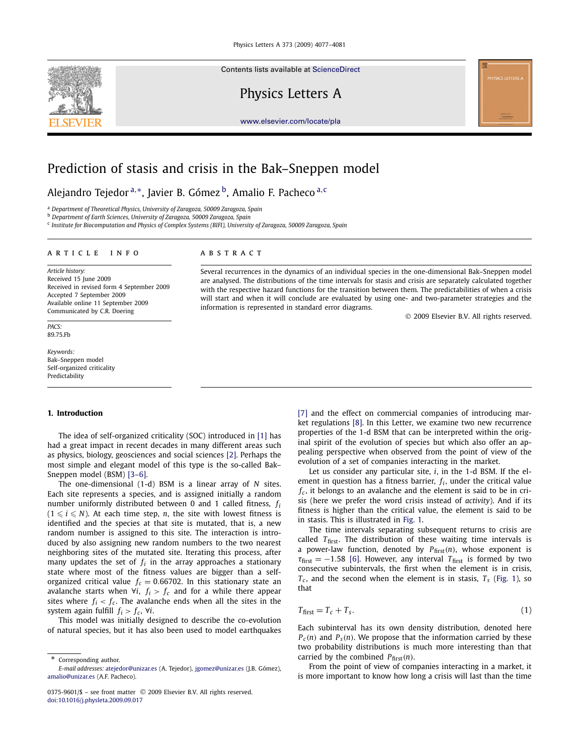

Contents lists available at [ScienceDirect](http://www.ScienceDirect.com/)

Physics Letters A



[www.elsevier.com/locate/pla](http://www.elsevier.com/locate/pla)

# Prediction of stasis and crisis in the Bak–Sneppen model

Alejandro Tejedor <sup>a</sup>*,*∗, Javier B. Gómez b, Amalio F. Pacheco <sup>a</sup>*,*<sup>c</sup>

<sup>a</sup> *Department of Theoretical Physics, University of Zaragoza, 50009 Zaragoza, Spain*

<sup>b</sup> *Department of Earth Sciences, University of Zaragoza, 50009 Zaragoza, Spain*

<sup>c</sup> *Institute for Biocomputation and Physics of Complex Systems (BIFI), University of Zaragoza, 50009 Zaragoza, Spain*

## article info abstract

*Article history:* Received 15 June 2009 Received in revised form 4 September 2009 Accepted 7 September 2009 Available online 11 September 2009 Communicated by C.R. Doering

*PACS:* 89.75.Fb

*Keywords:* Bak–Sneppen model Self-organized criticality Predictability

#### **1. Introduction**

The idea of self-organized criticality (SOC) introduced in [\[1\]](#page-4-0) has had a great impact in recent decades in many different areas such as physics, biology, geosciences and social sciences [\[2\].](#page-4-0) Perhaps the most simple and elegant model of this type is the so-called Bak– Sneppen model (BSM) [\[3–6\].](#page-4-0)

The one-dimensional (1-d) BSM is a linear array of *N* sites. Each site represents a species, and is assigned initially a random number uniformly distributed between 0 and 1 called fitness, *fi*  $(1 \leqslant i \leqslant N)$ . At each time step, *n*, the site with lowest fitness is identified and the species at that site is mutated, that is, a new random number is assigned to this site. The interaction is introduced by also assigning new random numbers to the two nearest neighboring sites of the mutated site. Iterating this process, after many updates the set of  $f_i$  in the array approaches a stationary state where most of the fitness values are bigger than a selforganized critical value  $f_c = 0.66702$ . In this stationary state an avalanche starts when  $\forall i$ ,  $f_i > f_c$  and for a while there appear sites where  $f_i < f_c$ . The avalanche ends when all the sites in the system again fulfill  $f_i > f_c$ ,  $\forall i$ .

This model was initially designed to describe the co-evolution of natural species, but it has also been used to model earthquakes

are analysed. The distributions of the time intervals for stasis and crisis are separately calculated together with the respective hazard functions for the transition between them. The predictabilities of when a crisis will start and when it will conclude are evaluated by using one- and two-parameter strategies and the information is represented in standard error diagrams. © 2009 Elsevier B.V. All rights reserved.

Several recurrences in the dynamics of an individual species in the one-dimensional Bak–Sneppen model

[\[7\]](#page-4-0) and the effect on commercial companies of introducing market regulations [\[8\].](#page-4-0) In this Letter, we examine two new recurrence properties of the 1-d BSM that can be interpreted within the original spirit of the evolution of species but which also offer an appealing perspective when observed from the point of view of the evolution of a set of companies interacting in the market.

Let us consider any particular site, *i*, in the 1-d BSM. If the element in question has a fitness barrier,  $f_i$ , under the critical value  $f_c$ , it belongs to an avalanche and the element is said to be in crisis (here we prefer the word crisis instead of *activity*). And if its fitness is higher than the critical value, the element is said to be in stasis. This is illustrated in [Fig. 1.](#page-1-0)

The time intervals separating subsequent returns to crisis are called *T*<sub>first</sub>. The distribution of these waiting time intervals is a power-law function, denoted by  $P_{\text{first}}(n)$ , whose exponent is  $\tau_{\text{first}} = -1.58$  [\[6\].](#page-4-0) However, any interval  $T_{\text{first}}$  is formed by two consecutive subintervals, the first when the element is in crisis,  $T_c$ , and the second when the element is in stasis,  $T_s$  [\(Fig. 1\)](#page-1-0), so that

$$
T_{\text{first}} = T_c + T_s. \tag{1}
$$

Each subinterval has its own density distribution, denoted here  $P_c(n)$  and  $P_s(n)$ . We propose that the information carried by these two probability distributions is much more interesting than that carried by the combined  $P_{\text{first}}(n)$ .

From the point of view of companies interacting in a market, it is more important to know how long a crisis will last than the time

Corresponding author. *E-mail addresses:* [atejedor@unizar.es](mailto:atejedor@unizar.es) (A. Tejedor), [jgomez@unizar.es](mailto:jgomez@unizar.es) (J.B. Gómez), [amalio@unizar.es](mailto:amalio@unizar.es) (A.F. Pacheco).

<sup>0375-9601/\$ –</sup> see front matter © 2009 Elsevier B.V. All rights reserved. [doi:10.1016/j.physleta.2009.09.017](http://dx.doi.org/10.1016/j.physleta.2009.09.017)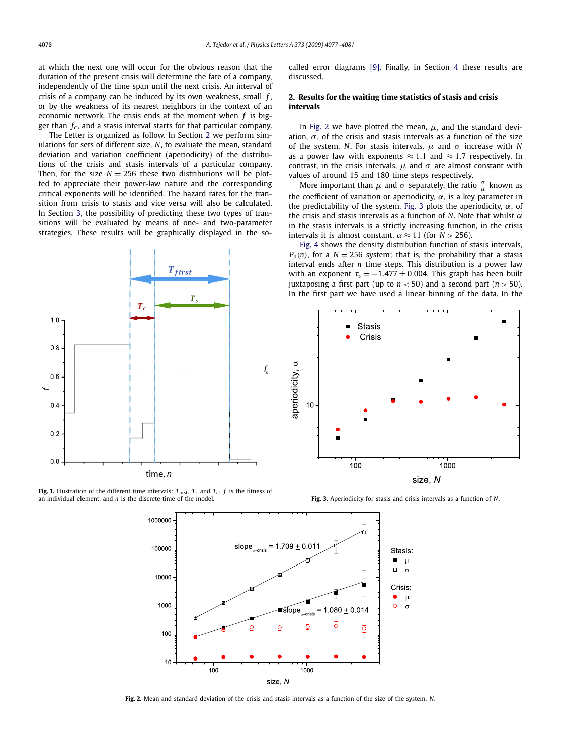<span id="page-1-0"></span>at which the next one will occur for the obvious reason that the duration of the present crisis will determine the fate of a company, independently of the time span until the next crisis. An interval of crisis of a company can be induced by its own weakness, small *f* , or by the weakness of its nearest neighbors in the context of an economic network. The crisis ends at the moment when *f* is bigger than *fc* , and a stasis interval starts for that particular company.

The Letter is organized as follow. In Section 2 we perform simulations for sets of different size, *N*, to evaluate the mean, standard deviation and variation coefficient (aperiodicity) of the distributions of the crisis and stasis intervals of a particular company. Then, for the size  $N = 256$  these two distributions will be plotted to appreciate their power-law nature and the corresponding critical exponents will be identified. The hazard rates for the transition from crisis to stasis and vice versa will also be calculated. In Section [3,](#page-2-0) the possibility of predicting these two types of transitions will be evaluated by means of one- and two-parameter strategies. These results will be graphically displayed in the socalled error diagrams [\[9\].](#page-4-0) Finally, in Section [4](#page-3-0) these results are discussed.

## **2. Results for the waiting time statistics of stasis and crisis intervals**

In Fig. 2 we have plotted the mean,  $\mu$ , and the standard deviation,  $\sigma$ , of the crisis and stasis intervals as a function of the size of the system, *N*. For stasis intervals, *μ* and *σ* increase with *N* as a power law with exponents ≈ 1*.*1 and ≈ 1*.*7 respectively. In contrast, in the crisis intervals,  $\mu$  and  $\sigma$  are almost constant with values of around 15 and 180 time steps respectively.

More important than  $\mu$  and  $\sigma$  separately, the ratio  $\frac{\sigma}{\mu}$  known as the coefficient of variation or aperiodicity,  $\alpha$ , is a key parameter in the predictability of the system. Fig. 3 plots the aperiodicity, *α*, of the crisis and stasis intervals as a function of *N*. Note that whilst *α* in the stasis intervals is a strictly increasing function, in the crisis intervals it is almost constant,  $\alpha \approx 11$  (for *N* > 256).

[Fig. 4](#page-2-0) shows the density distribution function of stasis intervals,  $P_s(n)$ , for a  $N = 256$  system; that is, the probability that a stasis interval ends after *n* time steps. This distribution is a power law with an exponent  $\tau_s = -1.477 \pm 0.004$ . This graph has been built juxtaposing a first part (up to  $n < 50$ ) and a second part ( $n > 50$ ). In the first part we have used a linear binning of the data. In the







**Fig. 2.** Mean and standard deviation of the crisis and stasis intervals as a function of the size of the system, *N*.



**Fig. 1.** Illustration of the different time intervals:  $T_{\text{first}}$ ,  $T_s$  and  $T_c$ .  $f$  is the fitness of an individual element, and *n* is the discrete time of the model.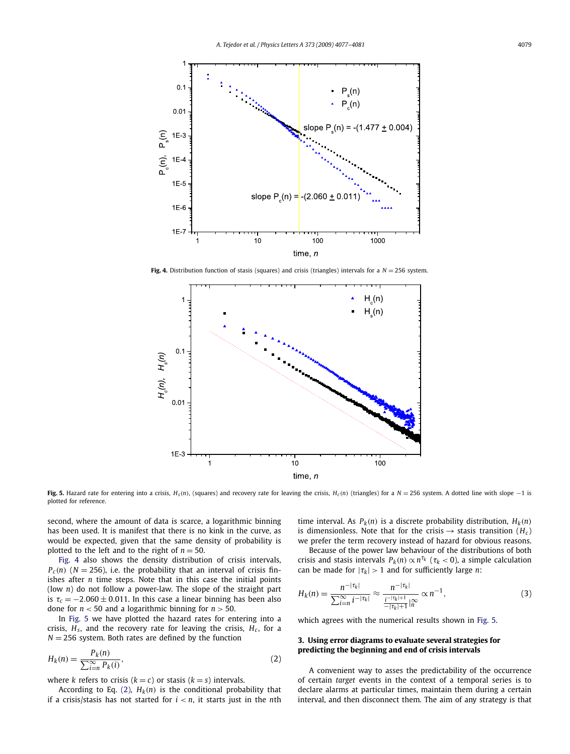<span id="page-2-0"></span>

**Fig. 4.** Distribution function of stasis (squares) and crisis (triangles) intervals for a  $N = 256$  system.



Fig. 5. Hazard rate for entering into a crisis,  $H_s(n)$ , (squares) and recovery rate for leaving the crisis,  $H_c(n)$  (triangles) for a  $N = 256$  system. A dotted line with slope -1 is plotted for reference.

second, where the amount of data is scarce, a logarithmic binning has been used. It is manifest that there is no kink in the curve, as would be expected, given that the same density of probability is plotted to the left and to the right of  $n = 50$ .

Fig. 4 also shows the density distribution of crisis intervals,  $P_c(n)$  (*N* = 256), i.e. the probability that an interval of crisis finishes after *n* time steps. Note that in this case the initial points (low *n*) do not follow a power-law. The slope of the straight part is  $\tau_c = -2.060 \pm 0.011$ . In this case a linear binning has been also done for  $n < 50$  and a logarithmic binning for  $n > 50$ .

In Fig. 5 we have plotted the hazard rates for entering into a crisis,  $H_s$ , and the recovery rate for leaving the crisis,  $H_c$ , for a  $N = 256$  system. Both rates are defined by the function

$$
H_k(n) = \frac{P_k(n)}{\sum_{i=n}^{\infty} P_k(i)},
$$
\n(2)

where *k* refers to crisis  $(k = c)$  or stasis  $(k = s)$  intervals.

According to Eq. (2),  $H_k(n)$  is the conditional probability that if a crisis/stasis has not started for *i < n*, it starts just in the *n*th time interval. As  $P_k(n)$  is a discrete probability distribution,  $H_k(n)$ is dimensionless. Note that for the crisis  $\rightarrow$  stasis transition ( $H_c$ ) we prefer the term recovery instead of hazard for obvious reasons.

Because of the power law behaviour of the distributions of both crisis and stasis intervals  $P_k(n) \propto n^{\tau_k}$  ( $\tau_k < 0$ ), a simple calculation can be made for  $|\tau_k| > 1$  and for sufficiently large *n*:

$$
H_k(n) = \frac{n^{-|\tau_k|}}{\sum_{i=n}^{\infty} i^{-|\tau_k|}} \approx \frac{n^{-|\tau_k|}}{\frac{i^{-|\tau_k|+1}}{|\tau_k|+1}|_n^{\infty}} \propto n^{-1},\tag{3}
$$

which agrees with the numerical results shown in Fig. 5.

## **3. Using error diagrams to evaluate several strategies for predicting the beginning and end of crisis intervals**

A convenient way to asses the predictability of the occurrence of certain *target* events in the context of a temporal series is to declare alarms at particular times, maintain them during a certain interval, and then disconnect them. The aim of any strategy is that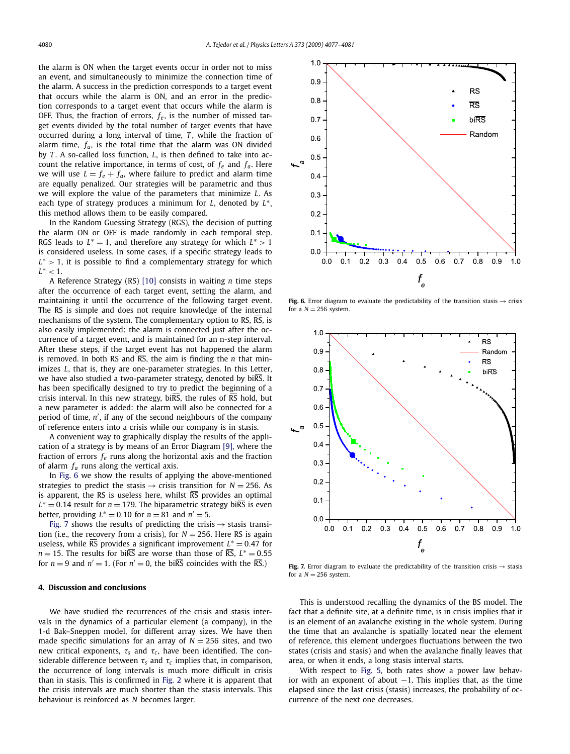<span id="page-3-0"></span>the alarm is ON when the target events occur in order not to miss an event, and simultaneously to minimize the connection time of the alarm. A success in the prediction corresponds to a target event that occurs while the alarm is ON, and an error in the prediction corresponds to a target event that occurs while the alarm is OFF. Thus, the fraction of errors,  $f_e$ , is the number of missed target events divided by the total number of target events that have occurred during a long interval of time, *T*, while the fraction of alarm time,  $f_a$ , is the total time that the alarm was ON divided by *T* . A so-called loss function, *L*, is then defined to take into account the relative importance, in terms of cost, of  $f_e$  and  $f_a$ . Here we will use  $L = f_e + f_a$ , where failure to predict and alarm time are equally penalized. Our strategies will be parametric and thus we will explore the value of the parameters that minimize *L*. As each type of strategy produces a minimum for *L*, denoted by *L*∗, this method allows them to be easily compared.

In the Random Guessing Strategy (RGS), the decision of putting the alarm ON or OFF is made randomly in each temporal step. RGS leads to  $L^* = 1$ , and therefore any strategy for which  $L^* > 1$ is considered useless. In some cases, if a specific strategy leads to *L*∗ *>* 1, it is possible to find a complementary strategy for which  $L^*$  < 1.

A Reference Strategy (RS) [\[10\]](#page-4-0) consists in waiting *n* time steps after the occurrence of each target event, setting the alarm, and maintaining it until the occurrence of the following target event. The RS is simple and does not require knowledge of the internal mechanisms of the system. The complementary option to RS, RS, is also easily implemented: the alarm is connected just after the occurrence of a target event, and is maintained for an n-step interval. After these steps, if the target event has not happened the alarm is removed. In both RS and RS, the aim is finding the *n* that minimizes *L*, that is, they are one-parameter strategies. In this Letter, we have also studied a two-parameter strategy, denoted by biRS. It has been specifically designed to try to predict the beginning of a crisis interval. In this new strategy, bi $\overline{RS}$ , the rules of  $\overline{RS}$  hold, but a new parameter is added: the alarm will also be connected for a period of time, *n* , if any of the second neighbours of the company of reference enters into a crisis while our company is in stasis.

A convenient way to graphically display the results of the application of a strategy is by means of an Error Diagram [\[9\],](#page-4-0) where the fraction of errors *fe* runs along the horizontal axis and the fraction of alarm *fa* runs along the vertical axis.

In Fig. 6 we show the results of applying the above-mentioned strategies to predict the stasis  $\rightarrow$  crisis transition for  $N = 256$ . As is apparent, the RS is useless here, whilst  $\overline{RS}$  provides an optimal  $L^* = 0.14$  result for  $n = 179$ . The biparametric strategy bi $\overline{\text{RS}}$  is even better, providing  $L^* = 0.10$  for  $n = 81$  and  $n' = 5$ .

Fig. 7 shows the results of predicting the crisis  $\rightarrow$  stasis transition (i.e., the recovery from a crisis), for  $N = 256$ . Here RS is again useless, while  $\overline{RS}$  provides a significant improvement  $L^* = 0.47$  for *n* = 15. The results for bi $\overline{RS}$  are worse than those of  $\overline{RS}$ ,  $L^* = 0.55$ for  $n = 9$  and  $n' = 1$ . (For  $n' = 0$ , the biRS coincides with the RS.)

## **4. Discussion and conclusions**

We have studied the recurrences of the crisis and stasis intervals in the dynamics of a particular element (a company), in the 1-d Bak–Sneppen model, for different array sizes. We have then made specific simulations for an array of  $N = 256$  sites, and two new critical exponents, *τ<sup>s</sup>* and *τ<sup>c</sup>* , have been identified. The considerable difference between  $\tau_s$  and  $\tau_c$  implies that, in comparison, the occurrence of long intervals is much more difficult in crisis than in stasis. This is confirmed in [Fig. 2](#page-1-0) where it is apparent that the crisis intervals are much shorter than the stasis intervals. This behaviour is reinforced as *N* becomes larger.



**Fig. 6.** Error diagram to evaluate the predictability of the transition stasis  $\rightarrow$  crisis for a  $N = 256$  system.



**Fig. 7.** Error diagram to evaluate the predictability of the transition crisis  $\rightarrow$  stasis for a  $N = 256$  system.

This is understood recalling the dynamics of the BS model. The fact that a definite site, at a definite time, is in crisis implies that it is an element of an avalanche existing in the whole system. During the time that an avalanche is spatially located near the element of reference, this element undergoes fluctuations between the two states (crisis and stasis) and when the avalanche finally leaves that area, or when it ends, a long stasis interval starts.

With respect to [Fig. 5,](#page-2-0) both rates show a power law behavior with an exponent of about  $-1$ . This implies that, as the time elapsed since the last crisis (stasis) increases, the probability of occurrence of the next one decreases.